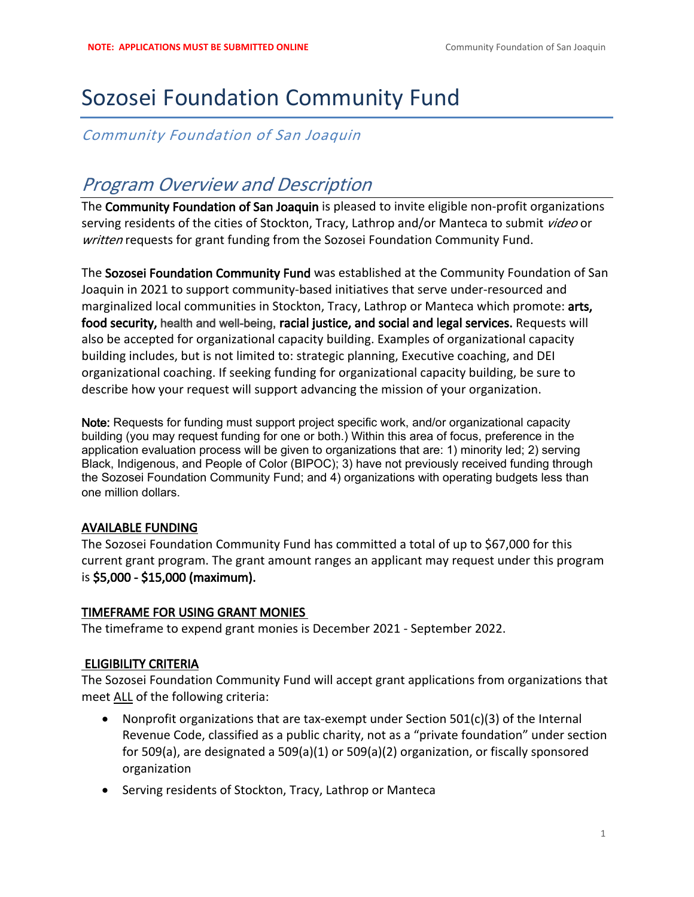# Sozosei Foundation Community Fund

*Community Foundation of San Joaquin*

# *Program Overview and Description*

The **Community Foundation of San Joaquin** is pleased to invite eligible non-profit organizations serving residents of the cities of Stockton, Tracy, Lathrop and/or Manteca to submit *video* or *written* requests for grant funding from the Sozosei Foundation Community Fund.

The **Sozosei Foundation Community Fund** was established at the Community Foundation of San Joaquin in 2021 to support community-based initiatives that serve under-resourced and marginalized local communities in Stockton, Tracy, Lathrop or Manteca which promote: **arts, food security, health and well-being, racial justice, and social and legal services.** Requests will also be accepted for organizational capacity building. Examples of organizational capacity building includes, but is not limited to: strategic planning, Executive coaching, and DEI organizational coaching. If seeking funding for organizational capacity building, be sure to describe how your request will support advancing the mission of your organization.

**Note:** Requests for funding must support project specific work, and/or organizational capacity building (you may request funding for one or both.) Within this area of focus, preference in the application evaluation process will be given to organizations that are: 1) minority led; 2) serving Black, Indigenous, and People of Color (BIPOC); 3) have not previously received funding through the Sozosei Foundation Community Fund; and 4) organizations with operating budgets less than one million dollars.

## **AVAILABLE FUNDING**

The Sozosei Foundation Community Fund has committed a total of up to \$67,000 for this current grant program. The grant amount ranges an applicant may request under this program is **\$5,000 - \$15,000 (maximum).**

## **TIMEFRAME FOR USING GRANT MONIES**

The timeframe to expend grant monies is December 2021 - September 2022.

## **ELIGIBILITY CRITERIA**

The Sozosei Foundation Community Fund will accept grant applications from organizations that meet ALL of the following criteria:

- Nonprofit organizations that are tax-exempt under Section 501(c)(3) of the Internal Revenue Code, classified as a public charity, not as a "private foundation" under section for 509(a), are designated a 509(a)(1) or 509(a)(2) organization, or fiscally sponsored organization
- Serving residents of Stockton, Tracy, Lathrop or Manteca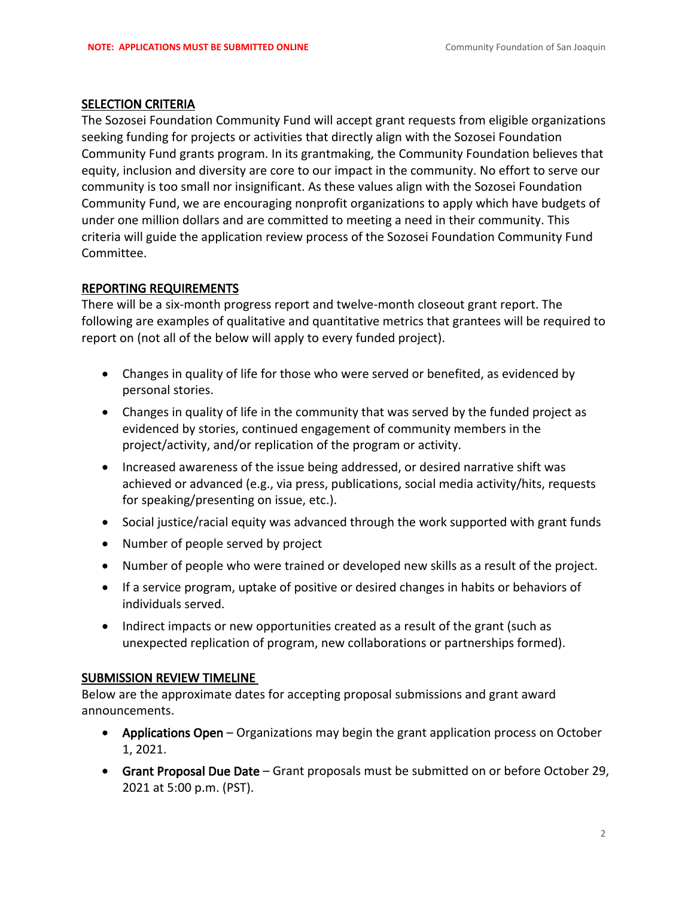#### **SELECTION CRITERIA**

The Sozosei Foundation Community Fund will accept grant requests from eligible organizations seeking funding for projects or activities that directly align with the Sozosei Foundation Community Fund grants program. In its grantmaking, the Community Foundation believes that equity, inclusion and diversity are core to our impact in the community. No effort to serve our community is too small nor insignificant. As these values align with the Sozosei Foundation Community Fund, we are encouraging nonprofit organizations to apply which have budgets of under one million dollars and are committed to meeting a need in their community. This criteria will guide the application review process of the Sozosei Foundation Community Fund Committee.

#### **REPORTING REQUIREMENTS**

There will be a six-month progress report and twelve-month closeout grant report. The following are examples of qualitative and quantitative metrics that grantees will be required to report on (not all of the below will apply to every funded project).

- Changes in quality of life for those who were served or benefited, as evidenced by personal stories.
- Changes in quality of life in the community that was served by the funded project as evidenced by stories, continued engagement of community members in the project/activity, and/or replication of the program or activity.
- Increased awareness of the issue being addressed, or desired narrative shift was achieved or advanced (e.g., via press, publications, social media activity/hits, requests for speaking/presenting on issue, etc.).
- Social justice/racial equity was advanced through the work supported with grant funds
- Number of people served by project
- Number of people who were trained or developed new skills as a result of the project.
- If a service program, uptake of positive or desired changes in habits or behaviors of individuals served.
- Indirect impacts or new opportunities created as a result of the grant (such as unexpected replication of program, new collaborations or partnerships formed).

#### **SUBMISSION REVIEW TIMELINE**

Below are the approximate dates for accepting proposal submissions and grant award announcements.

- **Applications Open**  Organizations may begin the grant application process on October 1, 2021.
- **Grant Proposal Due Date** Grant proposals must be submitted on or before October 29, 2021 at 5:00 p.m. (PST).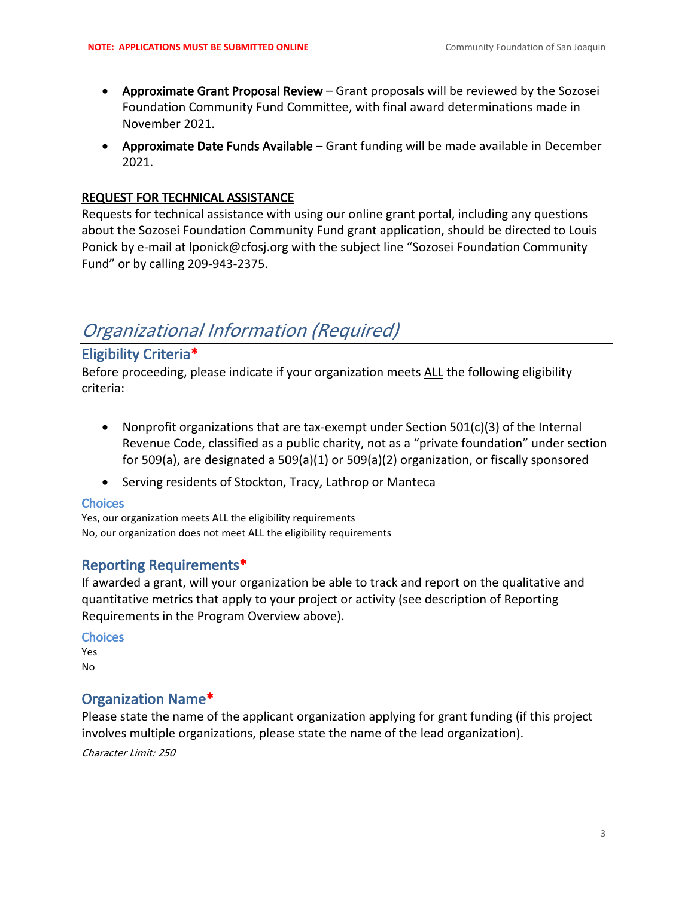- **Approximate Grant Proposal Review** Grant proposals will be reviewed by the Sozosei Foundation Community Fund Committee, with final award determinations made in November 2021.
- **Approximate Date Funds Available** Grant funding will be made available in December 2021.

### **REQUEST FOR TECHNICAL ASSISTANCE**

Requests for technical assistance with using our online grant portal, including any questions about the Sozosei Foundation Community Fund grant application, should be directed to Louis Ponick by e-mail at lponick@cfosj.org with the subject line "Sozosei Foundation Community Fund" or by calling 209-943-2375.

# *Organizational Information (Required)*

# **Eligibility Criteria\***

Before proceeding, please indicate if your organization meets ALL the following eligibility criteria:

- Nonprofit organizations that are tax-exempt under Section 501(c)(3) of the Internal Revenue Code, classified as a public charity, not as a "private foundation" under section for 509(a), are designated a 509(a)(1) or 509(a)(2) organization, or fiscally sponsored
- Serving residents of Stockton, Tracy, Lathrop or Manteca

### **Choices**

Yes, our organization meets ALL the eligibility requirements No, our organization does not meet ALL the eligibility requirements

## **Reporting Requirements\***

If awarded a grant, will your organization be able to track and report on the qualitative and quantitative metrics that apply to your project or activity (see description of Reporting Requirements in the Program Overview above).

#### **Choices**

Yes No

## **Organization Name\***

Please state the name of the applicant organization applying for grant funding (if this project involves multiple organizations, please state the name of the lead organization).

*Character Limit: 250*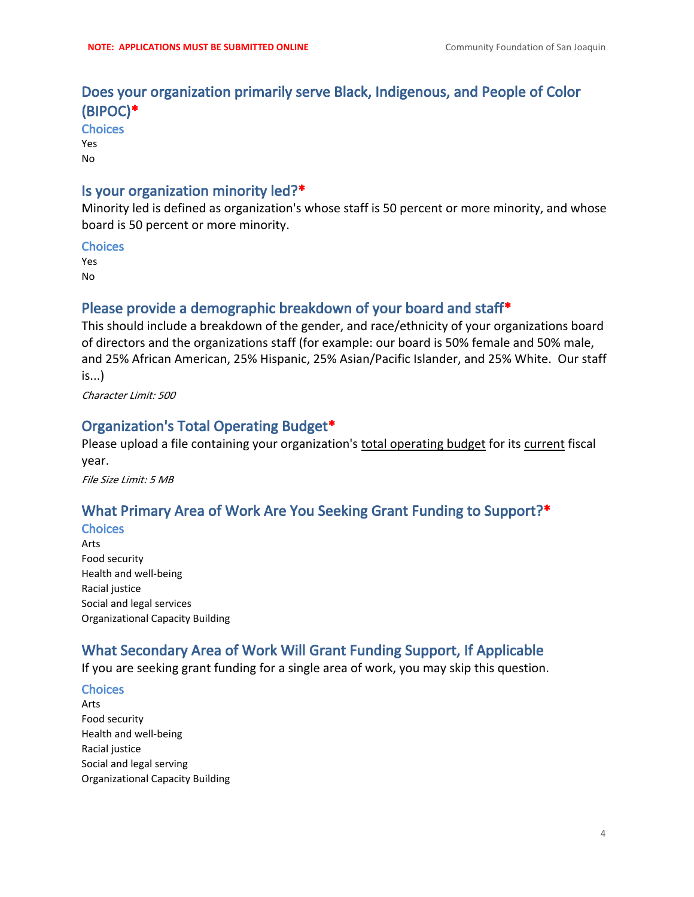# **Does your organization primarily serve Black, Indigenous, and People of Color (BIPOC)\***

**Choices** Yes No

### **Is your organization minority led?\***

Minority led is defined as organization's whose staff is 50 percent or more minority, and whose board is 50 percent or more minority.

#### **Choices**

Yes No

## **Please provide a demographic breakdown of your board and staff\***

This should include a breakdown of the gender, and race/ethnicity of your organizations board of directors and the organizations staff (for example: our board is 50% female and 50% male, and 25% African American, 25% Hispanic, 25% Asian/Pacific Islander, and 25% White. Our staff is...)

*Character Limit: 500*

### **Organization's Total Operating Budget\***

Please upload a file containing your organization's total operating budget for its current fiscal year.

*File Size Limit: 5 MB*

## **What Primary Area of Work Are You Seeking Grant Funding to Support?\***

#### **Choices**

Arts Food security Health and well-being Racial justice Social and legal services Organizational Capacity Building

## **What Secondary Area of Work Will Grant Funding Support, If Applicable**

If you are seeking grant funding for a single area of work, you may skip this question.

**Choices** Arts Food security Health and well-being Racial justice Social and legal serving Organizational Capacity Building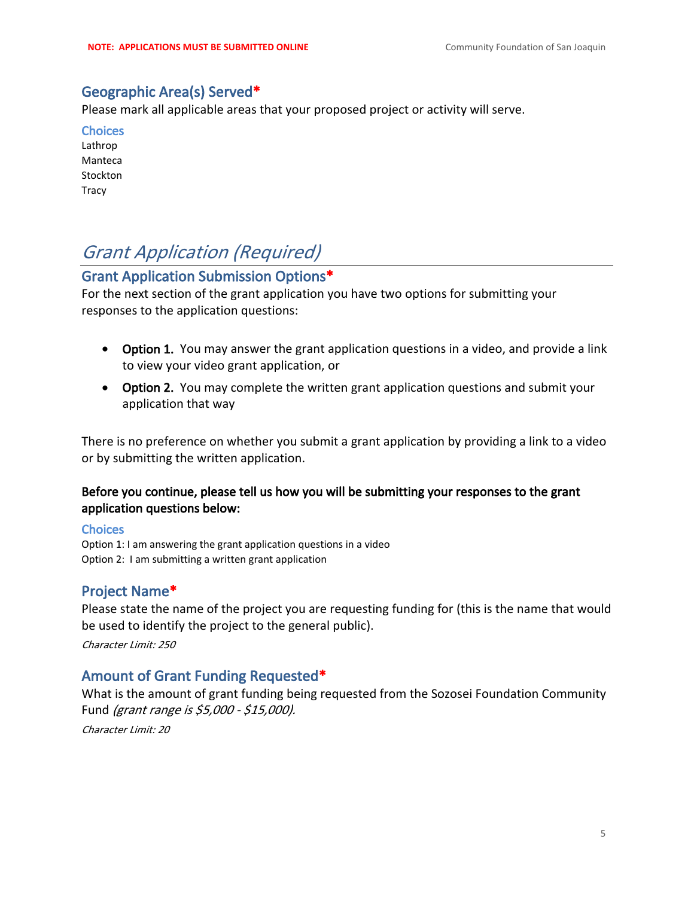## **Geographic Area(s) Served\***

Please mark all applicable areas that your proposed project or activity will serve.

**Choices**

Lathrop Manteca Stockton Tracy

# *Grant Application (Required)*

## **Grant Application Submission Options\***

For the next section of the grant application you have two options for submitting your responses to the application questions:

- **Option 1.** You may answer the grant application questions in a video, and provide a link to view your video grant application, or
- **Option 2.** You may complete the written grant application questions and submit your application that way

There is no preference on whether you submit a grant application by providing a link to a video or by submitting the written application.

## **Before you continue, please tell us how you will be submitting your responses to the grant application questions below:**

#### **Choices**

Option 1: I am answering the grant application questions in a video Option 2: I am submitting a written grant application

## **Project Name\***

Please state the name of the project you are requesting funding for (this is the name that would be used to identify the project to the general public).

*Character Limit: 250*

## **Amount of Grant Funding Requested\***

What is the amount of grant funding being requested from the Sozosei Foundation Community Fund *(grant range is \$5,000 - \$15,000).*

*Character Limit: 20*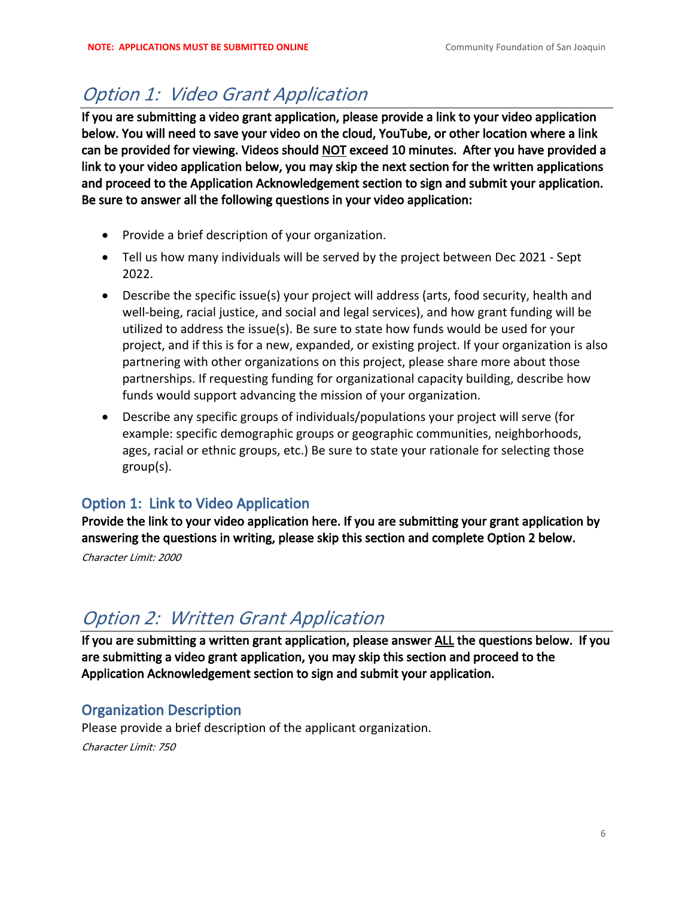# *Option 1: Video Grant Application*

**If you are submitting a video grant application, please provide a link to your video application below. You will need to save your video on the cloud, YouTube, or other location where a link can be provided for viewing. Videos should NOT exceed 10 minutes. After you have provided a link to your video application below, you may skip the next section for the written applications and proceed to the Application Acknowledgement section to sign and submit your application. Be sure to answer all the following questions in your video application:**

- Provide a brief description of your organization.
- Tell us how many individuals will be served by the project between Dec 2021 Sept 2022.
- Describe the specific issue(s) your project will address (arts, food security, health and well-being, racial justice, and social and legal services), and how grant funding will be utilized to address the issue(s). Be sure to state how funds would be used for your project, and if this is for a new, expanded, or existing project. If your organization is also partnering with other organizations on this project, please share more about those partnerships. If requesting funding for organizational capacity building, describe how funds would support advancing the mission of your organization.
- Describe any specific groups of individuals/populations your project will serve (for example: specific demographic groups or geographic communities, neighborhoods, ages, racial or ethnic groups, etc.) Be sure to state your rationale for selecting those group(s).

# **Option 1: Link to Video Application**

**Provide the link to your video application here. If you are submitting your grant application by answering the questions in writing, please skip this section and complete Option 2 below.** *Character Limit: 2000*

# *Option 2: Written Grant Application*

**If you are submitting a written grant application, please answer ALL the questions below. If you are submitting a video grant application, you may skip this section and proceed to the Application Acknowledgement section to sign and submit your application.**

# **Organization Description**

Please provide a brief description of the applicant organization.

*Character Limit: 750*